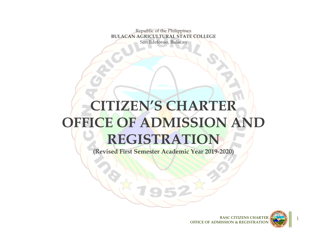Republic of the Philippines **BULACAN AGRICULTURAL STATE COLLEGE** San Ildefonso, Bulacan

# **CITIZEN'S CHARTER OFFICE OF ADMISSION AND REGISTRATION**

**(Revised First Semester Academic Year 2019-2020)**



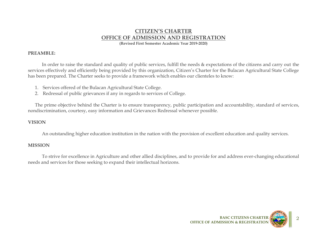# **CITIZEN'S CHARTER OFFICE OF ADMISSION AND REGISTRATION**

**(Revised First Semester Academic Year 2019-2020)**

#### **PREAMBLE:**

In order to raise the standard and quality of public services, fulfill the needs & expectations of the citizens and carry out the services effectively and efficiently being provided by this organization, Citizen's Charter for the Bulacan Agricultural State College has been prepared. The Charter seeks to provide a framework which enables our clienteles to know:

- 1. Services offered of the Bulacan Agricultural State College.
- 2. Redressal of public grievances if any in regards to services of College.

The prime objective behind the Charter is to ensure transparency, public participation and accountability, standard of services, nondiscrimination, courtesy, easy information and Grievances Redressal whenever possible.

#### **VISION**

An outstanding higher education institution in the nation with the provision of excellent education and quality services.

#### **MISSION**

To strive for excellence in Agriculture and other allied disciplines, and to provide for and address ever-changing educational needs and services for those seeking to expand their intellectual horizons.



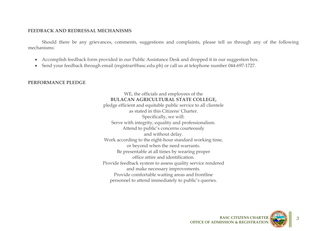#### **FEEDBACK AND REDRESSAL MECHANISMS**

Should there be any grievances, comments, suggestions and complaints, please tell us through any of the following mechanisms:

- Accomplish feedback form provided in our Public Assistance Desk and dropped it in our suggestion box.
- Send your feedback through email (registrar@basc.edu.ph) or call us at telephone number 044-697-1727.

#### **PERFORMANCE PLEDGE**

WE, the officials and employees of the **BULACAN AGRICULTURAL STATE COLLEGE,** pledge efficient and equitable public service to all clientele as stated in this Citizens' Charter. Specifically, we will: Serve with integrity, equality and professionalism. Attend to public's concerns courteously and without delay. Work according to the eight-hour standard working time, or beyond when the need warrants. Be presentable at all times by wearing proper office attire and identification. Provide feedback system to assess quality service rendered and make necessary improvements. Provide comfortable waiting areas and frontline personnel to attend immediately to public's queries.

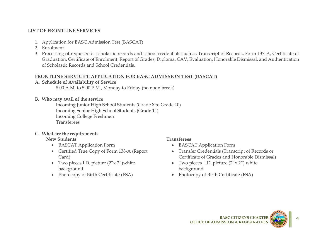# **LIST OF FRONTLINE SERVICES**

- 1. Application for BASC Admission Test (BASCAT)
- 2. Enrolment
- 3. Processing of requests for scholastic records and school credentials such as Transcript of Records, Form 137-A, Certificate of Graduation, Certificate of Enrolment, Report of Grades, Diploma, CAV, Evaluation, Honorable Dismissal, and Authentication of Scholastic Records and School Credentials.

### **FRONTLINE SERVICE 1: APPLICATION FOR BASC ADMISSION TEST (BASCAT)**

### **A. Schedule of Availability of Service**

8.00 A.M. to 5:00 P.M., Monday to Friday (no noon break)

### **B. Who may avail of the service**

Incoming Junior High School Students (Grade 8 to Grade 10) Incoming Senior High School Students (Grade 11) Incoming College Freshmen Transferees

# **C. What are the requirements**

### **New Students Transferees**

- BASCAT Application Form
- Certified True Copy of Form 138-A (Report Card)
- Two pieces I.D. picture  $(2'' \times 2'')$  white background
- Photocopy of Birth Certificate (PSA) Photocopy of Birth Certificate (PSA)

- BASCAT Application Form
- Transfer Credentials (Transcript of Records or Certificate of Grades and Honorable Dismissal)
- Two pieces I.D. picture  $(2'' \times 2'')$  white background
- 

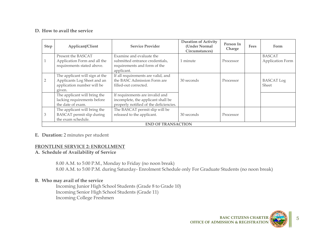### **D. How to avail the service**

| <b>Step</b> | Applicant/Client                                                                                                                                                                                    | <b>Duration of Activity</b><br><b>Service Provider</b>                                                          |            | Person In<br>Charge | Fees | Form                              |  |
|-------------|-----------------------------------------------------------------------------------------------------------------------------------------------------------------------------------------------------|-----------------------------------------------------------------------------------------------------------------|------------|---------------------|------|-----------------------------------|--|
|             | Present the BASCAT<br>Application Form and all the<br>requirements stated above.                                                                                                                    | Examine and evaluate the<br>submitted entrance credentials,<br>requirements and form of the<br>applicant.       | 1 minute   | Processor           |      | <b>BASCAT</b><br>Application Form |  |
| 2           | The applicant will sign at the<br>If all requirements are valid, and<br>the BASC Admission Form are<br>Applicants Log Sheet and an<br>application number will be<br>filled-out corrected.<br>given. |                                                                                                                 | 30 seconds | Processor           |      | <b>BASCAT Log</b><br>Sheet        |  |
|             | The applicant will bring the<br>lacking requirements before<br>the date of exam.                                                                                                                    | If requirements are invalid and<br>incomplete, the applicant shall be<br>properly notified of the deficiencies. |            |                     |      |                                   |  |
| 3           | The applicant will bring the<br>BASCAT permit slip during<br>the exam schedule.                                                                                                                     | The BASCAT permit slip will be<br>released to the applicant.                                                    | 30 seconds | Processor           |      |                                   |  |
|             | <b>END OF TRANSACTION</b>                                                                                                                                                                           |                                                                                                                 |            |                     |      |                                   |  |

#### **E. Duration:** 2 minutes per student

#### **FRONTLINE SERVICE 2: ENROLLMENT**

#### **A. Schedule of Availability of Service**

8.00 A.M. to 5:00 P.M., Monday to Friday (no noon break) 8.00 A.M. to 5:00 P.M. during Saturday- Enrolment Schedule only For Graduate Students (no noon break)

### **B. Who may avail of the service**

Incoming Junior High School Students (Grade 8 to Grade 10) Incoming Senior High School Students (Grade 11) Incoming College Freshmen



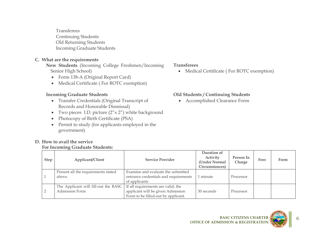Transferees Continuing Students Old Returning Students Incoming Graduate Students

#### **C. What are the requirements**

**D. How to avail the service** 

**New Students** (Incoming College Freshmen/Incoming Senior High School)

- Form 138-A (Original Report Card)
- Medical Certificate ( For ROTC exemption)

**For Incoming Graduate Students:**

- Transfer Credentials (Original Transcript of Records and Honorable Dismissal)
- Two pieces I.D. picture  $(2'' \times 2'')$  white background
- Photocopy of Birth Certificate (PSA)
- Permit to study (for applicants employed in the government)

#### **Transferees**

Medical Certificate ( For ROTC exemption)

### **Incoming Graduate Students Old Students / Continuing Students**

Accomplished Clearance Form

| <b>Step</b> | Applicant/Client                                       | <b>Service Provider</b>                                                                                        | Duration of<br>Activity<br>(Under Normal<br>Circumstances) | Person In<br>Charge | Fees | Form |
|-------------|--------------------------------------------------------|----------------------------------------------------------------------------------------------------------------|------------------------------------------------------------|---------------------|------|------|
|             | Present all the requirements stated<br>above.          | Examine and evaluate the submitted<br>entrance credentials and requirements<br>of applicants                   | l minute                                                   | Processor           |      |      |
|             | The Applicant will fill-out the BASC<br>Admission Form | If all requirements are valid, the<br>applicant will be given Admission<br>Form to be filled-out by applicant. | 30 seconds                                                 | Processor           |      |      |

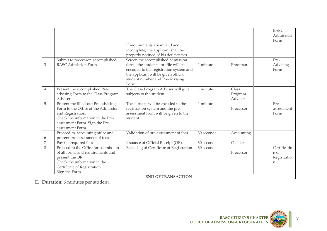|                |                                                                                                                                                                                            |                                                                                                                                                                                                       |            |                             | <b>BASC</b><br>Admission<br>Form                   |
|----------------|--------------------------------------------------------------------------------------------------------------------------------------------------------------------------------------------|-------------------------------------------------------------------------------------------------------------------------------------------------------------------------------------------------------|------------|-----------------------------|----------------------------------------------------|
|                |                                                                                                                                                                                            | If requirements are invalid and<br>incomplete, the applicant shall be<br>properly notified of his deficiencies.                                                                                       |            |                             |                                                    |
| 3              | Submit to processor accomplished<br><b>BASC Admission Form</b>                                                                                                                             | Screen the accomplished admission<br>form, the students' profile will be<br>encoded to the registration system and<br>the applicant will be given official<br>student number and Pre-advising<br>Form | 1 minute   | Processor                   | Pre-<br>Advising<br>Form                           |
| $\overline{4}$ | Present the accomplished Pre-<br>advising Form to the Class Program<br>Adviser                                                                                                             | The Class Program Adviser will give<br>subjects to the student                                                                                                                                        | 1 minute   | Class<br>Program<br>Adviser |                                                    |
| 5              | Present the filled-out Pre-advising<br>Form to the Office of the Admission<br>and Registration.<br>Check the information in the Pre-<br>assessment Form. Sign the Pre-<br>assessment Form. | The subjects will be encoded to the<br>registration system and the pre-<br>assessment form will be given to the<br>student.                                                                           | 1 minute   | Processor                   | Pre-<br>assessment<br>Form                         |
| 6              | Proceed to accounting office and<br>present pre-assessment of fees                                                                                                                         | Validation of pre-assessment of fees                                                                                                                                                                  | 30 seconds | Accounting                  |                                                    |
| $\overline{7}$ | Pay the required fees                                                                                                                                                                      | Issuance of Official Receipt (OR)                                                                                                                                                                     | 30 seconds | Cashier                     |                                                    |
| 8              | Proceed to the Office for submission<br>of all forms and requirements and<br>present the OR.<br>Check the information in the<br>Certificate of Registration.<br>Sign the Form.             | Releasing of Certificate of Registration                                                                                                                                                              | 30 seconds | Processor                   | Certificatio<br>n of<br>Registratio<br>$\mathbf n$ |
|                |                                                                                                                                                                                            | <b>END OF TRANSACTION</b>                                                                                                                                                                             |            |                             |                                                    |

**E. Duration:** 6 minutes per student



7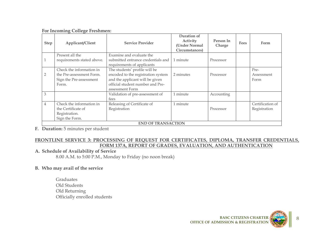| <b>For Incoming College Freshmen:</b> |  |  |  |  |
|---------------------------------------|--|--|--|--|
|---------------------------------------|--|--|--|--|

| <b>Step</b>                                 | Applicant/Client                                                                                                                                                                                                                                          | <b>Service Provider</b> |           | Person In<br>Charge | <b>Fees</b> | Form                             |  |  |
|---------------------------------------------|-----------------------------------------------------------------------------------------------------------------------------------------------------------------------------------------------------------------------------------------------------------|-------------------------|-----------|---------------------|-------------|----------------------------------|--|--|
| Examine and evaluate the<br>Present all the |                                                                                                                                                                                                                                                           |                         |           |                     |             |                                  |  |  |
|                                             | $\mathbf{1}$<br>submitted entrance credentials and<br>requirements stated above.<br>requirements of applicants                                                                                                                                            |                         | 1 minute  | Processor           |             |                                  |  |  |
| $\overline{2}$                              | Check the information in<br>The students' profile will be<br>encoded to the registration system<br>the Pre-assessment Form.<br>and the applicant will be given<br>Sign the Pre-assessment<br>official student number and Pre-<br>Form.<br>assessment Form |                         | 2 minutes | Processor           |             | Pre-<br>Assessment<br>Form       |  |  |
| 3                                           | Validation of pre-assessment of<br>fees                                                                                                                                                                                                                   |                         | 1 minute  | Accounting          |             |                                  |  |  |
| $\overline{4}$                              | Check the information in<br>Releasing of Certificate of<br>Registration<br>the Certificate of<br>Registration.<br>Sign the Form.                                                                                                                          |                         | 1 minute  | Processor           |             | Certification of<br>Registration |  |  |
|                                             | <b>END OF TRANSACTION</b>                                                                                                                                                                                                                                 |                         |           |                     |             |                                  |  |  |

**F. Duration:** 5 minutes per student

## **FRONTLINE SERVICE 3: PROCESSING OF REQUEST FOR CERTIFICATES, DIPLOMA, TRANSFER CREDENTIALS, FORM 137A, REPORT OF GRADES, EVALUATION, AND AUTHENTICATION**

# **A. Schedule of Availability of Service**

8.00 A.M. to 5:00 P.M., Monday to Friday (no noon break)

# **B. Who may avail of the service**

Graduates Old Students Old Returning Officially enrolled students



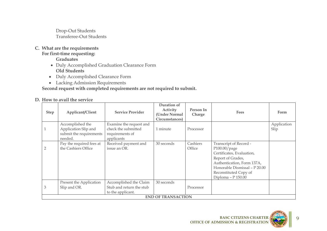Drop-Out Students Transferee-Out Students

**C. What are the requirements**

# **For first-time requesting:**

**Graduates**

- Duly Accomplished Graduation Clearance Form **Old Students**
- Duly Accomplished Clearance Form
- Lacking Admission Requirements

**Second request with completed requirements are not required to submit.**

# **D. How to avail the service**

| <b>Step</b>    | Applicant/Client                                                               | <b>Service Provider</b>                                                         | Duration of<br>Activity<br>(Under Normal<br>Circumstances) | Person In<br>Charge | <b>Fees</b>                                                                                                                                                                                            | Form                |  |
|----------------|--------------------------------------------------------------------------------|---------------------------------------------------------------------------------|------------------------------------------------------------|---------------------|--------------------------------------------------------------------------------------------------------------------------------------------------------------------------------------------------------|---------------------|--|
| $\mathbf{1}$   | Accomplished the<br>Application Slip and<br>submit the requirements<br>needed. | Examine the request and<br>check the submitted<br>requirements of<br>applicants | 1 minute                                                   | Processor           |                                                                                                                                                                                                        | Application<br>Slip |  |
| $\overline{2}$ | Pay the required fees at<br>the Cashiers Office                                | Received payment and<br>issue an OR.                                            | 30 seconds                                                 | Cashiers<br>Office  | Transcript of Record -<br>P100.00/page<br>Certificates, Evaluation,<br>Report of Grades,<br>Authentication, Form 137A,<br>Honorable Dismissal - P 20.00<br>Reconstituted Copy of<br>Diploma - P 150.00 |                     |  |
| 3              | Present the Application<br>Slip and OR.                                        | Accomplished the Claim<br>Stub and return the stub<br>to the applicant.         | 30 seconds                                                 | Processor           |                                                                                                                                                                                                        |                     |  |
|                | <b>END OF TRANSACTION</b>                                                      |                                                                                 |                                                            |                     |                                                                                                                                                                                                        |                     |  |



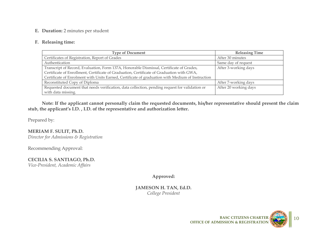#### **E. Duration:** 2 minutes per student

#### **F. Releasing time:**

| <b>Type of Document</b>                                                                          | <b>Releasing Time</b> |
|--------------------------------------------------------------------------------------------------|-----------------------|
| Certificates of Registration, Report of Grades                                                   | After 30 minutes      |
| Authentication                                                                                   | Same day of request   |
| Transcript of Record, Evaluation, Form 137A, Honorable Dismissal, Certificate of Grades,         | After 3-working days  |
| Certificate of Enrollment, Certificate of Graduation, Certificate of Graduation with GWA,        |                       |
| Certificate of Enrolment with Units Earned, Certificate of graduation with Medium of Instruction |                       |
| Reconstituted Copy of Diploma                                                                    | After 7-working days  |
| Requested document that needs verification, data collection, pending request for validation or   | After 20 working days |
| with data missing.                                                                               |                       |

**Note: If the applicant cannot personally claim the requested documents, his/her representative should present the claim stub, the applicant's I.D. , I.D. of the representative and authorization letter.**

Prepared by:

**MERIAM F. SULIT, Ph.D.** *Director for Admissions & Registration*

Recommending Approval:

**CECILIA S. SANTIAGO, Ph.D.** *Vice-President, Academic Affairs*

**Approved:**

**JAMESON H. TAN, Ed.D.** *College President*